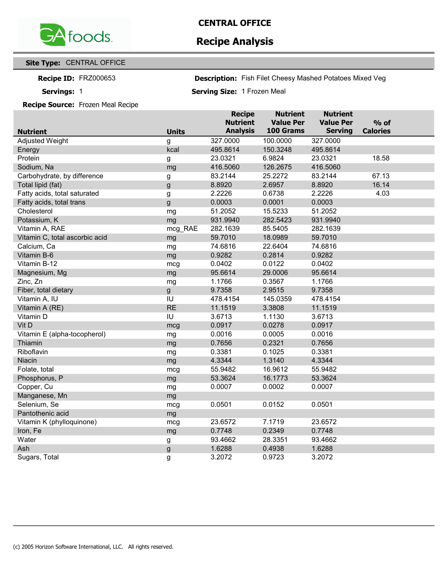

## **Recipe Analysis**

### **Site Type:** CENTRAL OFFICE

**Recipe ID:** 

Servings: 1

Fish Filet Cheesy Mashed Potatoes Mixed Veg FRZ000653 **Description:**

**Servings: Serving Size:** 1 Frozen Meal

#### **Recipe Source:** Frozen Meal Recipe

|                                |              | <b>Recipe</b><br><b>Nutrient</b> | <b>Nutrient</b><br><b>Value Per</b> | <b>Nutrient</b><br><b>Value Per</b> |                           |
|--------------------------------|--------------|----------------------------------|-------------------------------------|-------------------------------------|---------------------------|
| <b>Nutrient</b>                | <b>Units</b> | <b>Analysis</b>                  | 100 Grams                           | <b>Serving</b>                      | $%$ of<br><b>Calories</b> |
| <b>Adjusted Weight</b>         | g            | 327.0000                         | 100.0000                            | 327.0000                            |                           |
| Energy                         | kcal         | 495.8614                         | 150.3248                            | 495.8614                            |                           |
| Protein                        | g            | 23.0321                          | 6.9824                              | 23.0321                             | 18.58                     |
| Sodium, Na                     | mg           | 416.5060                         | 126.2675                            | 416.5060                            |                           |
| Carbohydrate, by difference    | g            | 83.2144                          | 25.2272                             | 83.2144                             | 67.13                     |
| Total lipid (fat)              | g            | 8.8920                           | 2.6957                              | 8.8920                              | 16.14                     |
| Fatty acids, total saturated   | g            | 2.2226                           | 0.6738                              | 2.2226                              | 4.03                      |
| Fatty acids, total trans       | g            | 0.0003                           | 0.0001                              | 0.0003                              |                           |
| Cholesterol                    | mg           | 51.2052                          | 15.5233                             | 51.2052                             |                           |
| Potassium, K                   | mg           | 931.9940                         | 282.5423                            | 931.9940                            |                           |
| Vitamin A, RAE                 | mcg_RAE      | 282.1639                         | 85.5405                             | 282.1639                            |                           |
| Vitamin C, total ascorbic acid | mg           | 59.7010                          | 18.0989                             | 59.7010                             |                           |
| Calcium, Ca                    | mg           | 74.6816                          | 22.6404                             | 74.6816                             |                           |
| Vitamin B-6                    | mg           | 0.9282                           | 0.2814                              | 0.9282                              |                           |
| Vitamin B-12                   | mcg          | 0.0402                           | 0.0122                              | 0.0402                              |                           |
| Magnesium, Mg                  | mg           | 95.6614                          | 29.0006                             | 95.6614                             |                           |
| Zinc, Zn                       | mg           | 1.1766                           | 0.3567                              | 1.1766                              |                           |
| Fiber, total dietary           | g            | 9.7358                           | 2.9515                              | 9.7358                              |                           |
| Vitamin A, IU                  | IU           | 478.4154                         | 145.0359                            | 478.4154                            |                           |
| Vitamin A (RE)                 | <b>RE</b>    | 11.1519                          | 3.3808                              | 11.1519                             |                           |
| Vitamin D                      | IU           | 3.6713                           | 1.1130                              | 3.6713                              |                           |
| Vit D                          | mcg          | 0.0917                           | 0.0278                              | 0.0917                              |                           |
| Vitamin E (alpha-tocopherol)   | mg           | 0.0016                           | 0.0005                              | 0.0016                              |                           |
| Thiamin                        | mg           | 0.7656                           | 0.2321                              | 0.7656                              |                           |
| Riboflavin                     | mg           | 0.3381                           | 0.1025                              | 0.3381                              |                           |
| Niacin                         | mg           | 4.3344                           | 1.3140                              | 4.3344                              |                           |
| Folate, total                  | mcg          | 55.9482                          | 16.9612                             | 55.9482                             |                           |
| Phosphorus, P                  | mg           | 53.3624                          | 16.1773                             | 53.3624                             |                           |
| Copper, Cu                     | mg           | 0.0007                           | 0.0002                              | 0.0007                              |                           |
| Manganese, Mn                  | mg           |                                  |                                     |                                     |                           |
| Selenium, Se                   | mcg          | 0.0501                           | 0.0152                              | 0.0501                              |                           |
| Pantothenic acid               | mg           |                                  |                                     |                                     |                           |
| Vitamin K (phylloquinone)      | mcg          | 23.6572                          | 7.1719                              | 23.6572                             |                           |
| Iron, Fe                       | mg           | 0.7748                           | 0.2349                              | 0.7748                              |                           |
| Water                          | g            | 93.4662                          | 28.3351                             | 93.4662                             |                           |
| Ash                            | g            | 1.6288                           | 0.4938                              | 1.6288                              |                           |
| Sugars, Total                  | g            | 3.2072                           | 0.9723                              | 3.2072                              |                           |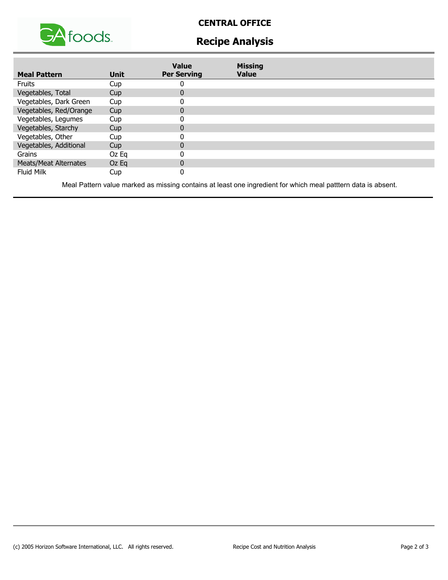

## **CENTRAL OFFICE**

# **Recipe Analysis**

| <b>Meal Pattern</b>          | <b>Unit</b> | <b>Value</b><br><b>Per Serving</b> | <b>Missing</b><br><b>Value</b> |  |
|------------------------------|-------------|------------------------------------|--------------------------------|--|
| <b>Fruits</b>                | Cup         |                                    |                                |  |
| Vegetables, Total            | Cup         | $\bf{0}$                           |                                |  |
| Vegetables, Dark Green       | Cup         |                                    |                                |  |
| Vegetables, Red/Orange       | Cup         | 0                                  |                                |  |
| Vegetables, Legumes          | Cup         |                                    |                                |  |
| Vegetables, Starchy          | Cup         |                                    |                                |  |
| Vegetables, Other            | Cup         |                                    |                                |  |
| Vegetables, Additional       | Cup         | $\Omega$                           |                                |  |
| Grains                       | Oz Eg       |                                    |                                |  |
| <b>Meats/Meat Alternates</b> | $Oz$ Eq     | $\mathbf{0}$                       |                                |  |
| <b>Fluid Milk</b>            | Cup         |                                    |                                |  |

Meal Pattern value marked as missing contains at least one ingredient for which meal patttern data is absent.